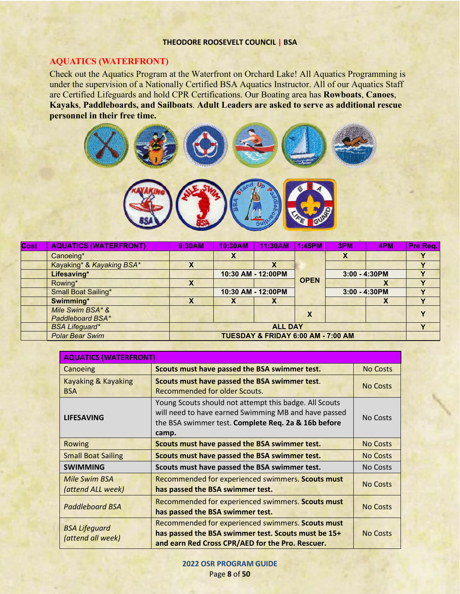#### **THEODORE ROOSEVELT COUNCIL | BSA**

## **AQUATICS (WATERFRONT)**

Check out the Aquatics Program at the Waterfront on Orchard Lake! All Aquatics Programming is under the supervision of a Nationally Certified BSA Aquatics Instructor. All of our Aquatics Staff are Certified Lifeguards and hold CPR Certifications. Our Boating area has **Rowboats**, **Canoes**, **Kayaks**, **Paddleboards, and Sailboats**. **Adult Leaders are asked to serve as additional rescue personnel in their free time.** 



| <b>Cost</b> | <b>AQUATICS (WATERFRONT)</b> | 9:30AM                             | 10:30AM            | 11:30AM                   | 1:45PM      | 3PM              | 4PM | Pre Req. |
|-------------|------------------------------|------------------------------------|--------------------|---------------------------|-------------|------------------|-----|----------|
|             | Canoeing*                    |                                    | x                  |                           |             |                  |     |          |
|             | Kayaking* & Kayaking BSA*    | Х                                  |                    | $\boldsymbol{\mathsf{A}}$ |             |                  |     |          |
|             | Lifesaving*                  |                                    | 10:30 AM - 12:00PM |                           |             | $3:00 - 4:30$ PM |     |          |
|             | Rowing*                      | Χ                                  |                    |                           | <b>OPEN</b> |                  | Λ   |          |
|             | <b>Small Boat Sailing*</b>   |                                    |                    | 10:30 AM - 12:00PM        |             | $3:00 - 4:30$ PM |     |          |
|             | Swimming*                    | Χ                                  | ⋏                  | $\boldsymbol{\mathsf{A}}$ |             |                  |     |          |
|             | Mile Swim BSA* &             |                                    |                    |                           |             |                  |     |          |
|             | Paddleboard BSA*             |                                    |                    |                           | Х           |                  |     |          |
|             | <b>BSA Lifeguard*</b>        | <b>ALL DAY</b>                     |                    |                           |             |                  |     |          |
|             | <b>Polar Bear Swim</b>       | TUESDAY & FRIDAY 6:00 AM - 7:00 AM |                    |                           |             |                  |     |          |

| <b>AQUATICS (WATERFRONT)</b>              |                                                                                                                                                                                |                 |  |  |  |  |  |  |
|-------------------------------------------|--------------------------------------------------------------------------------------------------------------------------------------------------------------------------------|-----------------|--|--|--|--|--|--|
| Canoeing                                  | Scouts must have passed the BSA swimmer test.                                                                                                                                  | <b>No Costs</b> |  |  |  |  |  |  |
| Kayaking & Kayaking<br><b>BSA</b>         | Scouts must have passed the BSA swimmer test.<br><b>Recommended for older Scouts.</b>                                                                                          | <b>No Costs</b> |  |  |  |  |  |  |
| <b>LIFESAVING</b>                         | Young Scouts should not attempt this badge. All Scouts<br>will need to have earned Swimming MB and have passed<br>the BSA swimmer test. Complete Req. 2a & 16b before<br>camp. | No Costs        |  |  |  |  |  |  |
| Rowing                                    | Scouts must have passed the BSA swimmer test.                                                                                                                                  | <b>No Costs</b> |  |  |  |  |  |  |
| <b>Small Boat Sailing</b>                 | Scouts must have passed the BSA swimmer test.                                                                                                                                  | <b>No Costs</b> |  |  |  |  |  |  |
| <b>SWIMMING</b>                           | Scouts must have passed the BSA swimmer test.                                                                                                                                  | <b>No Costs</b> |  |  |  |  |  |  |
| Mile Swim BSA<br>(attend ALL week)        | Recommended for experienced swimmers. Scouts must<br>has passed the BSA swimmer test.                                                                                          | <b>No Costs</b> |  |  |  |  |  |  |
| <b>Paddleboard BSA</b>                    | Recommended for experienced swimmers. Scouts must<br>has passed the BSA swimmer test.                                                                                          | <b>No Costs</b> |  |  |  |  |  |  |
| <b>BSA Lifeguard</b><br>(attend all week) | Recommended for experienced swimmers. Scouts must<br>has passed the BSA swimmer test. Scouts must be 15+<br>and earn Red Cross CPR/AED for the Pro. Rescuer.                   | <b>No Costs</b> |  |  |  |  |  |  |